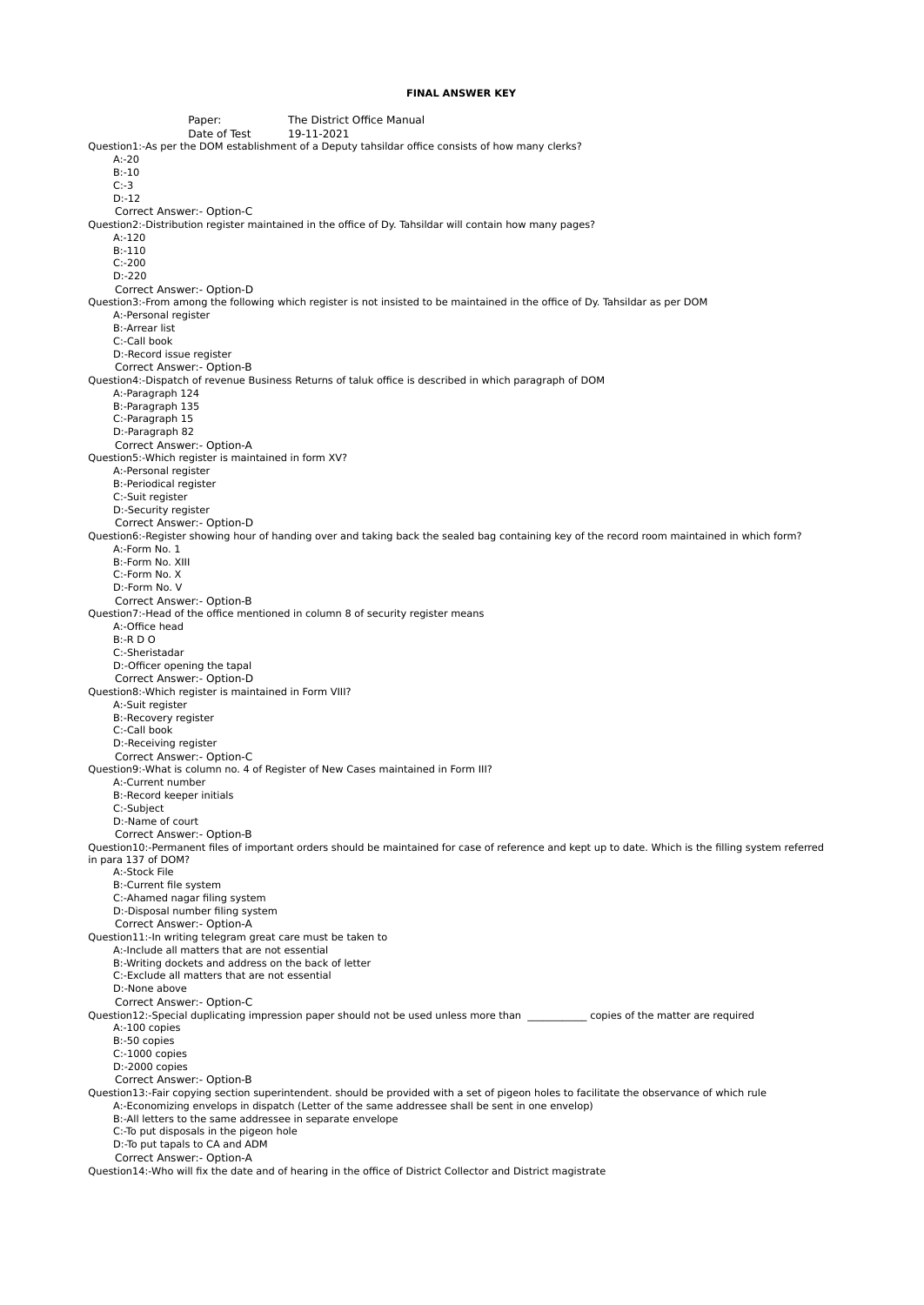## **FINAL ANSWER KEY**

Paper: The District Office Manual Date of Test 19-11-2021 Question1:-As per the DOM establishment of a Deputy tahsildar office consists of how many clerks? A:-20 B:-10 C:-3 D:-12 Correct Answer:- Option-C Question2:-Distribution register maintained in the office of Dy. Tahsildar will contain how many pages? A:-120 B:-110 C:-200 D:-220 Correct Answer:- Option-D Question3:-From among the following which register is not insisted to be maintained in the office of Dy. Tahsildar as per DOM A:-Personal register B:-Arrear list C:-Call book D:-Record issue register Correct Answer:- Option-B Question4:-Dispatch of revenue Business Returns of taluk office is described in which paragraph of DOM A:-Paragraph 124 B:-Paragraph 135 C:-Paragraph 15 D:-Paragraph 82 Correct Answer:- Option-A Question5:-Which register is maintained in form XV? A:-Personal register B:-Periodical register C:-Suit register D:-Security register Correct Answer:- Option-D Question6:-Register showing hour of handing over and taking back the sealed bag containing key of the record room maintained in which form? A:-Form No. 1 B:-Form No. XIII C:-Form No. X D:-Form No. V Correct Answer:- Option-B Question7:-Head of the office mentioned in column 8 of security register means A:-Office head B:-R D O C:-Sheristadar D:-Officer opening the tapal Correct Answer:- Option-D Question8:-Which register is maintained in Form VIII? A:-Suit register B:-Recovery register C:-Call book D:-Receiving register Correct Answer:- Option-C Question9:-What is column no. 4 of Register of New Cases maintained in Form III? A:-Current number B:-Record keeper initials C:-Subject D:-Name of court Correct Answer:- Option-B Question10:-Permanent files of important orders should be maintained for case of reference and kept up to date. Which is the filling system referred in para 137 of DOM? A:-Stock File B:-Current file system C:-Ahamed nagar filing system D:-Disposal number filing system Correct Answer:- Option-A Question11:-In writing telegram great care must be taken to A:-Include all matters that are not essential B:-Writing dockets and address on the back of letter C:-Exclude all matters that are not essential D:-None above Correct Answer:- Option-C Question12:-Special duplicating impression paper should not be used unless more than \_\_\_\_\_\_\_\_\_\_\_\_ copies of the matter are required A:-100 copies B:-50 copies C:-1000 copies D:-2000 copies Correct Answer:- Option-B Question13:-Fair copying section superintendent. should be provided with a set of pigeon holes to facilitate the observance of which rule A:-Economizing envelops in dispatch (Letter of the same addressee shall be sent in one envelop) B:-All letters to the same addressee in separate envelope C:-To put disposals in the pigeon hole D:-To put tapals to CA and ADM Correct Answer:- Option-A Question14:-Who will fix the date and of hearing in the office of District Collector and District magistrate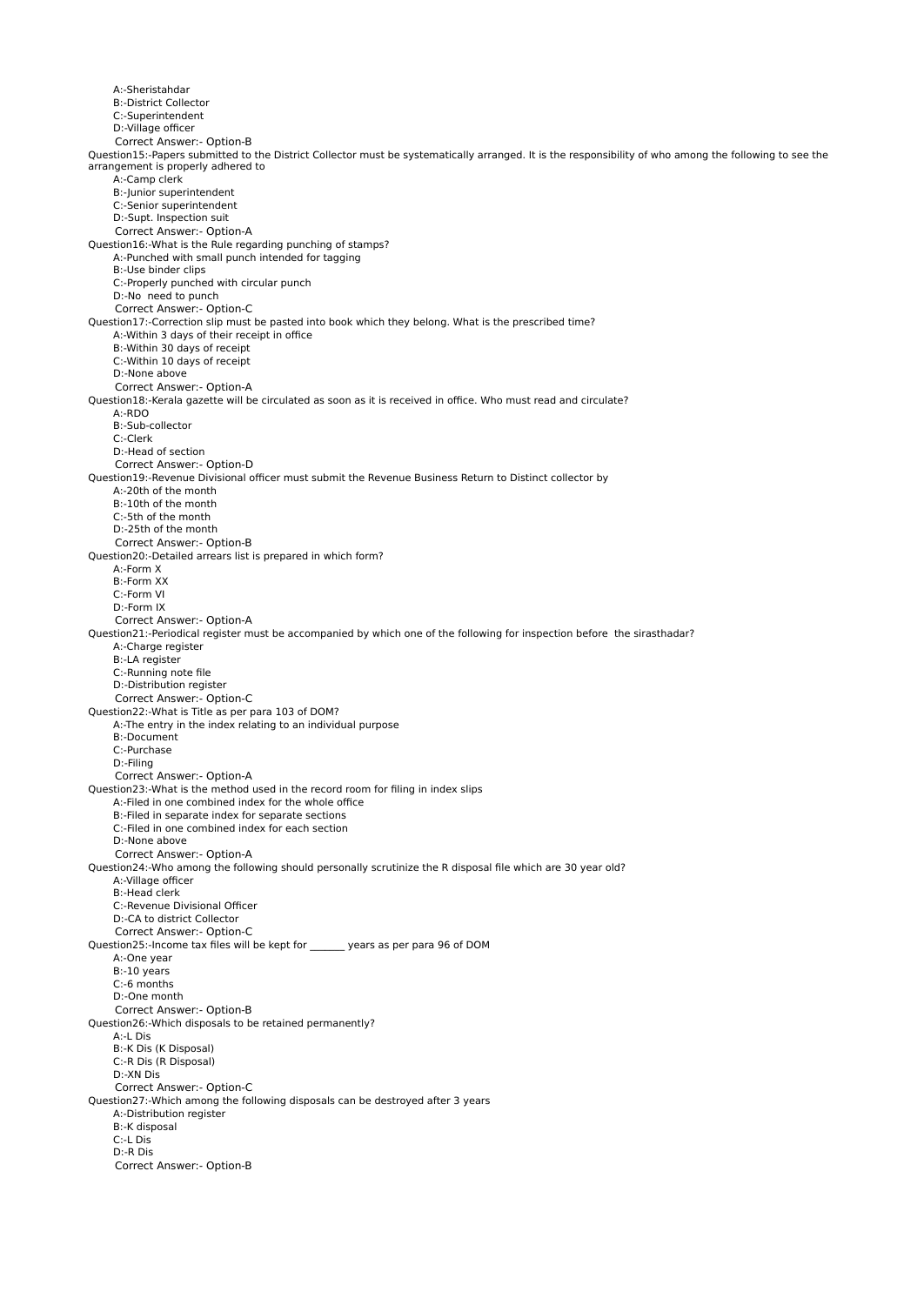A:-Sheristahdar B:-District Collector C:-Superintendent D:-Village officer Correct Answer:- Option-B Question15:-Papers submitted to the District Collector must be systematically arranged. It is the responsibility of who among the following to see the arrangement is properly adhered to A:-Camp clerk B:-Junior superintendent C:-Senior superintendent D:-Supt. Inspection suit Correct Answer:- Option-A Question16:-What is the Rule regarding punching of stamps? A:-Punched with small punch intended for tagging B:-Use binder clips C:-Properly punched with circular punch D:-No need to punch Correct Answer:- Option-C Question17:-Correction slip must be pasted into book which they belong. What is the prescribed time? A:-Within 3 days of their receipt in office B:-Within 30 days of receipt C:-Within 10 days of receipt D:-None above Correct Answer:- Option-A Question18:-Kerala gazette will be circulated as soon as it is received in office. Who must read and circulate? A:-RDO B:-Sub-collector C:-Clerk D:-Head of section Correct Answer:- Option-D Question19:-Revenue Divisional officer must submit the Revenue Business Return to Distinct collector by A:-20th of the month B:-10th of the month C:-5th of the month D:-25th of the month Correct Answer:- Option-B Question20:-Detailed arrears list is prepared in which form? A:-Form X B:-Form XX C:-Form VI D:-Form IX Correct Answer:- Option-A Question21:-Periodical register must be accompanied by which one of the following for inspection before the sirasthadar? A:-Charge register B:-LA register C:-Running note file D:-Distribution register Correct Answer:- Option-C Question22:-What is Title as per para 103 of DOM? A:-The entry in the index relating to an individual purpose B:-Document C:-Purchase D:-Filing Correct Answer:- Option-A Question23:-What is the method used in the record room for filing in index slips A:-Filed in one combined index for the whole office B:-Filed in separate index for separate sections C:-Filed in one combined index for each section D:-None above Correct Answer:- Option-A Question24:-Who among the following should personally scrutinize the R disposal file which are 30 year old? A:-Village officer B:-Head clerk C:-Revenue Divisional Officer D:-CA to district Collector Correct Answer:- Option-C Question25:-Income tax files will be kept for \_\_\_\_\_\_\_ years as per para 96 of DOM A:-One year B:-10 years C:-6 months D:-One month Correct Answer:- Option-B Question26:-Which disposals to be retained permanently? A:-L Dis B:-K Dis (K Disposal) C:-R Dis (R Disposal) D:-XN Dis Correct Answer:- Option-C Question27:-Which among the following disposals can be destroyed after 3 years A:-Distribution register B:-K disposal C:-L Dis D:-R Dis Correct Answer:- Option-B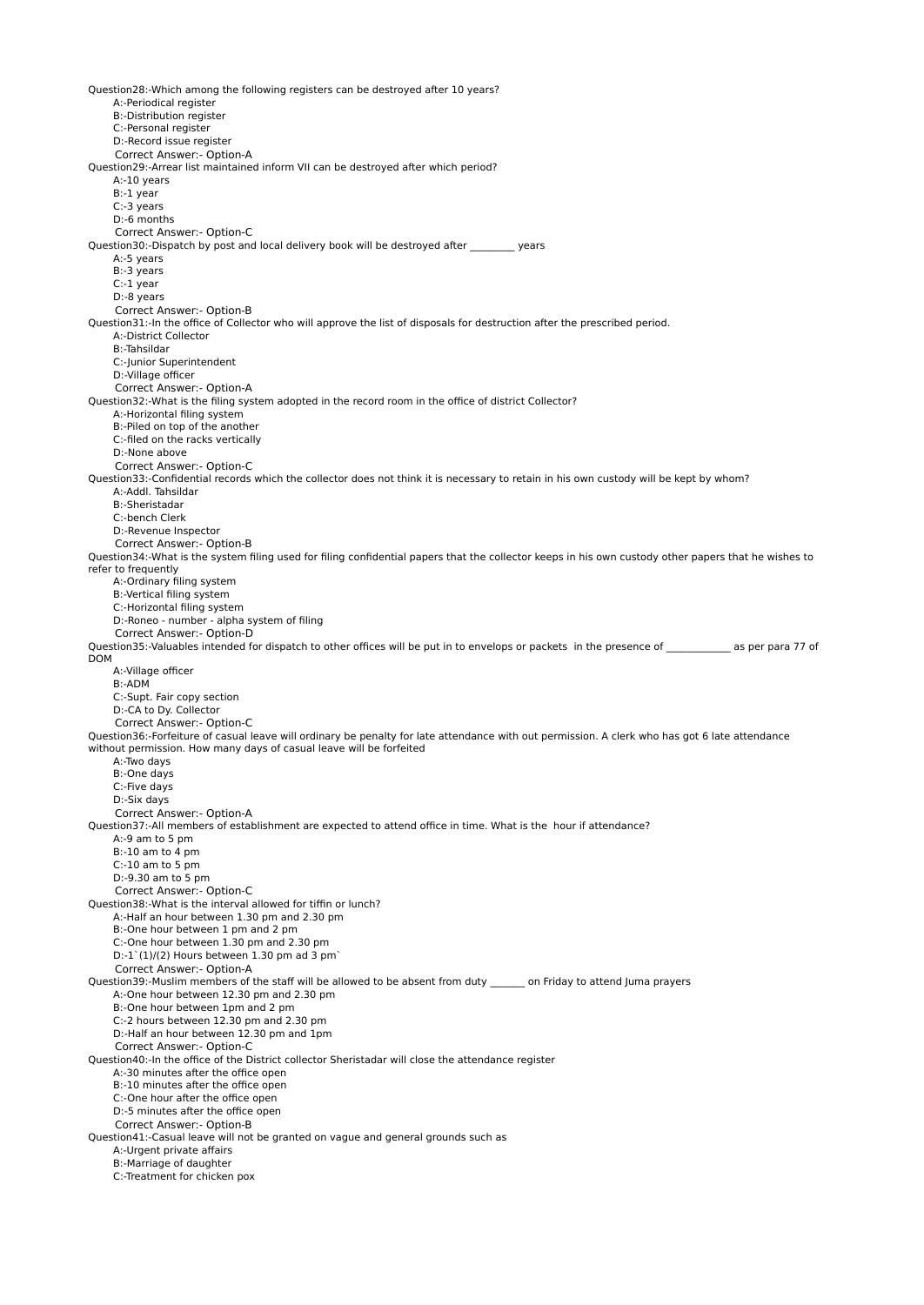Question28:-Which among the following registers can be destroyed after 10 years? A:-Periodical register B:-Distribution register C:-Personal register D:-Record issue register Correct Answer:- Option-A Question29:-Arrear list maintained inform VII can be destroyed after which period? A:-10 years B:-1 year C:-3 years D:-6 months Correct Answer:- Option-C Question30:-Dispatch by post and local delivery book will be destroyed after vears A:-5 years B:-3 years C:-1 year D:-8 years Correct Answer:- Option-B Question31:-In the office of Collector who will approve the list of disposals for destruction after the prescribed period. A:-District Collector B:-Tahsildar C:-Junior Superintendent D:-Village officer Correct Answer:- Option-A Question32:-What is the filing system adopted in the record room in the office of district Collector? A:-Horizontal filing system B:-Piled on top of the another C:-filed on the racks vertically D:-None above Correct Answer:- Option-C Question33:-Confidential records which the collector does not think it is necessary to retain in his own custody will be kept by whom? A:-Addl. Tahsildar B:-Sheristadar C:-bench Clerk D:-Revenue Inspector Correct Answer:- Option-B Question34:-What is the system filing used for filing confidential papers that the collector keeps in his own custody other papers that he wishes to refer to frequently A:-Ordinary filing system B:-Vertical filing system C:-Horizontal filing system D:-Roneo - number - alpha system of filing Correct Answer:- Option-D Question35:-Valuables intended for dispatch to other offices will be put in to envelops or packets in the presence of \_\_\_\_\_\_\_\_\_\_\_\_ as per para 77 of DOM A:-Village officer B:-ADM C:-Supt. Fair copy section D:-CA to Dy. Collector Correct Answer:- Option-C Question36:-Forfeiture of casual leave will ordinary be penalty for late attendance with out permission. A clerk who has got 6 late attendance without permission. How many days of casual leave will be forfeited A:-Two days B:-One days C:-Five days D:-Six days Correct Answer:- Option-A Question37:-All members of establishment are expected to attend office in time. What is the hour if attendance? A:-9 am to 5 pm B:-10 am to 4 pm C:-10 am to 5 pm D:-9.30 am to 5 pm Correct Answer:- Option-C Question38:-What is the interval allowed for tiffin or lunch? A:-Half an hour between 1.30 pm and 2.30 pm B:-One hour between 1 pm and 2 pm C:-One hour between 1.30 pm and 2.30 pm  $D:-1^(1)/(2)$  Hours between 1.30 pm ad 3 pm Correct Answer:- Option-A Question39:-Muslim members of the staff will be allowed to be absent from duty \_\_\_\_\_\_\_ on Friday to attend Juma prayers A:-One hour between 12.30 pm and 2.30 pm B:-One hour between 1pm and 2 pm C:-2 hours between 12.30 pm and 2.30 pm D:-Half an hour between 12.30 pm and 1pm Correct Answer:- Option-C Question40:-In the office of the District collector Sheristadar will close the attendance register A:-30 minutes after the office open B:-10 minutes after the office open C:-One hour after the office open D:-5 minutes after the office open Correct Answer:- Option-B Question41:-Casual leave will not be granted on vague and general grounds such as A:-Urgent private affairs B:-Marriage of daughter C:-Treatment for chicken pox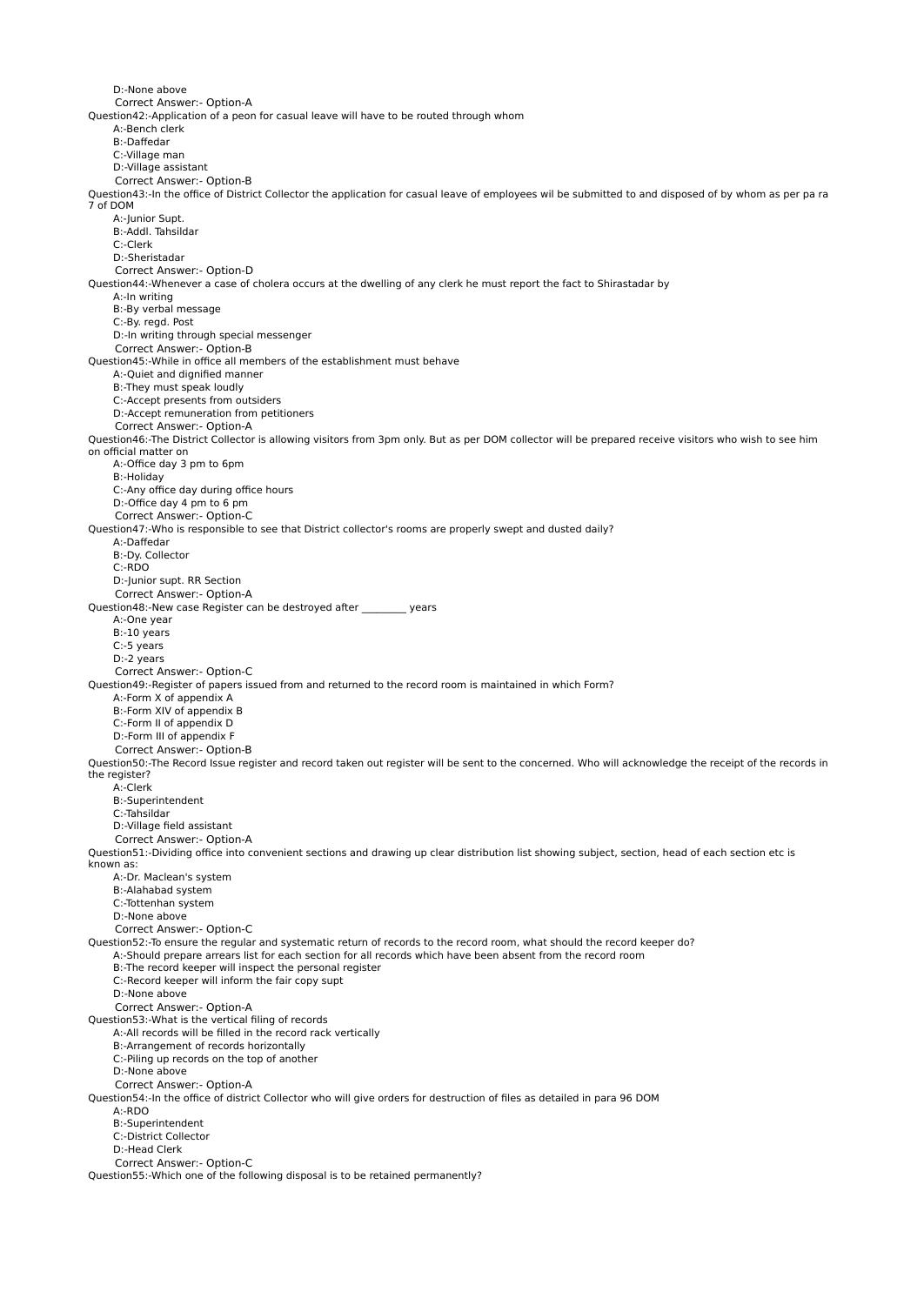D:-None above Correct Answer:- Option-A Question42:-Application of a peon for casual leave will have to be routed through whom A:-Bench clerk B:-Daffedar C:-Village man D:-Village assistant Correct Answer:- Option-B Question43:-In the office of District Collector the application for casual leave of employees wil be submitted to and disposed of by whom as per pa ra 7 of DOM A:-Iunior Supt. B:-Addl. Tahsildar C:-Clerk D:-Sheristadar Correct Answer:- Option-D Question44:-Whenever a case of cholera occurs at the dwelling of any clerk he must report the fact to Shirastadar by A:-In writing B:-By verbal message C:-By. regd. Post D:-In writing through special messenger Correct Answer:- Option-B Question45:-While in office all members of the establishment must behave A:-Quiet and dignified manner B:-They must speak loudly C:-Accept presents from outsiders D:-Accept remuneration from petitioners Correct Answer:- Option-A Question46:-The District Collector is allowing visitors from 3pm only. But as per DOM collector will be prepared receive visitors who wish to see him on official matter on A:-Office day 3 pm to 6pm B:-Holiday C:-Any office day during office hours D:-Office day 4 pm to 6 pm Correct Answer:- Option-C Question47:-Who is responsible to see that District collector's rooms are properly swept and dusted daily? A:-Daffedar B:-Dy. Collector C:-RDO D:-Junior supt. RR Section Correct Answer:- Option-A Question48:-New case Register can be destroyed after \_\_\_\_\_\_\_\_\_ years A:-One year B:-10 years C:-5 years D:-2 years Correct Answer:- Option-C Question49:-Register of papers issued from and returned to the record room is maintained in which Form? A:-Form X of appendix A B:-Form XIV of appendix B C:-Form II of appendix D D:-Form III of appendix F Correct Answer:- Option-B Question50:-The Record Issue register and record taken out register will be sent to the concerned. Who will acknowledge the receipt of the records in the register? A:-Clerk B:-Superintendent C:-Tahsildar D:-Village field assistant Correct Answer:- Option-A Question51:-Dividing office into convenient sections and drawing up clear distribution list showing subject, section, head of each section etc is known as: A:-Dr. Maclean's system B:-Alahabad system C:-Tottenhan system D:-None above Correct Answer:- Option-C Question52:-To ensure the regular and systematic return of records to the record room, what should the record keeper do? A:-Should prepare arrears list for each section for all records which have been absent from the record room B:-The record keeper will inspect the personal register C:-Record keeper will inform the fair copy supt D:-None above Correct Answer:- Option-A Question53:-What is the vertical filing of records A:-All records will be filled in the record rack vertically B:-Arrangement of records horizontally C:-Piling up records on the top of another D:-None above Correct Answer:- Option-A Question54:-In the office of district Collector who will give orders for destruction of files as detailed in para 96 DOM A:-RDO B:-Superintendent C:-District Collector D:-Head Clerk Correct Answer:- Option-C Question55:-Which one of the following disposal is to be retained permanently?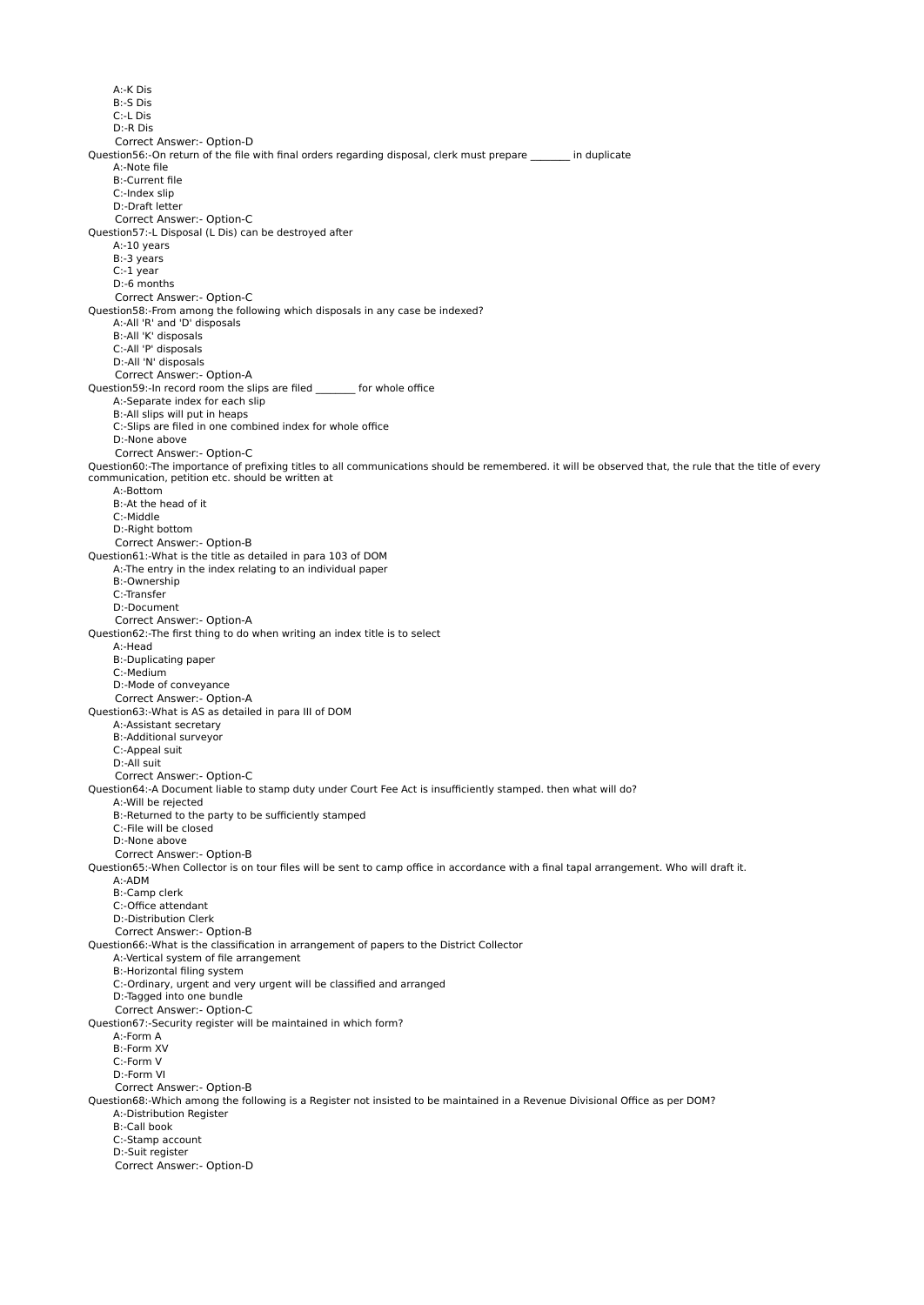A:-K Dis B:-S Dis C:-L Dis D:-R Dis Correct Answer:- Option-D Question56:-On return of the file with final orders regarding disposal, clerk must prepare in duplicate A:-Note file B:-Current file C:-Index slip D:-Draft letter Correct Answer:- Option-C Question57:-L Disposal (L Dis) can be destroyed after A:-10 years B:-3 years C:-1 year D:-6 months Correct Answer:- Option-C Question58:-From among the following which disposals in any case be indexed? A:-All 'R' and 'D' disposals B:-All 'K' disposals C:-All 'P' disposals D:-All 'N' disposals Correct Answer:- Option-A Question59:-In record room the slips are filed for whole office A:-Separate index for each slip B:-All slips will put in heaps C:-Slips are filed in one combined index for whole office D:-None above Correct Answer:- Option-C Question60:-The importance of prefixing titles to all communications should be remembered. it will be observed that, the rule that the title of every communication, petition etc. should be written at A:-Bottom B:-At the head of it C:-Middle D:-Right bottom Correct Answer:- Option-B Question61:-What is the title as detailed in para 103 of DOM A:-The entry in the index relating to an individual paper B:-Ownership C:-Transfer D:-Document Correct Answer:- Option-A Question62:-The first thing to do when writing an index title is to select A:-Head B:-Duplicating paper C:-Medium D:-Mode of conveyance Correct Answer:- Option-A Question63:-What is AS as detailed in para III of DOM A:-Assistant secretary B:-Additional surveyor C:-Appeal suit D:-All suit Correct Answer:- Option-C Question64:-A Document liable to stamp duty under Court Fee Act is insufficiently stamped. then what will do? A:-Will be rejected B:-Returned to the party to be sufficiently stamped C:-File will be closed D:-None above Correct Answer:- Option-B Question65:-When Collector is on tour files will be sent to camp office in accordance with a final tapal arrangement. Who will draft it. A:-ADM B:-Camp clerk C:-Office attendant D:-Distribution Clerk Correct Answer:- Option-B Question66:-What is the classification in arrangement of papers to the District Collector A:-Vertical system of file arrangement B:-Horizontal filing system C:-Ordinary, urgent and very urgent will be classified and arranged D:-Tagged into one bundle Correct Answer:- Option-C Question67:-Security register will be maintained in which form? A:-Form A B:-Form XV C:-Form V D:-Form VI Correct Answer:- Option-B Question68:-Which among the following is a Register not insisted to be maintained in a Revenue Divisional Office as per DOM? A:-Distribution Register B:-Call book C:-Stamp account D:-Suit register Correct Answer:- Option-D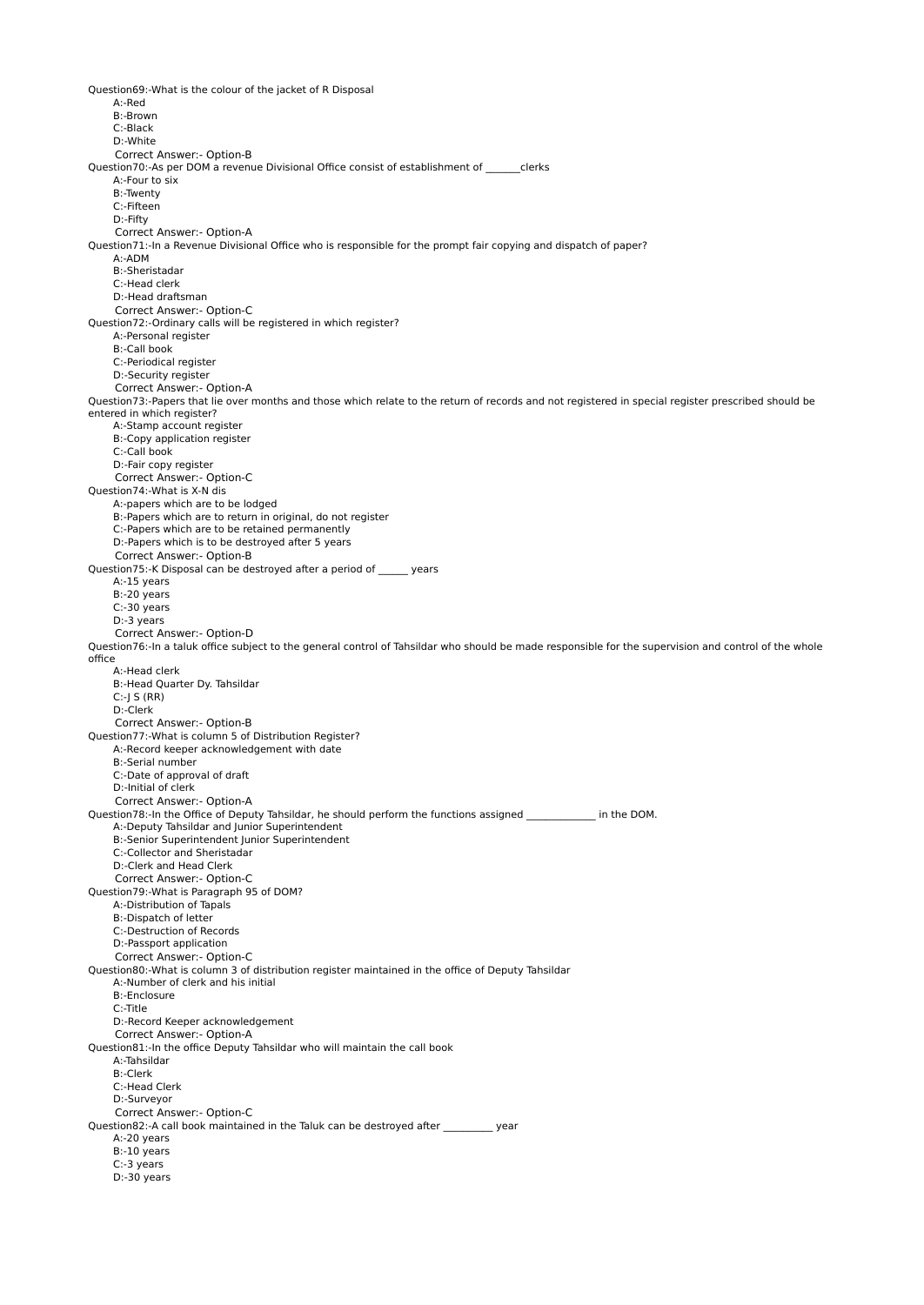Question69:-What is the colour of the jacket of R Disposal A:-Red B:-Brown C:-Black D:-White Correct Answer:- Option-B Question70:-As per DOM a revenue Divisional Office consist of establishment of clerks A:-Four to six B:-Twenty C:-Fifteen D:-Fifty Correct Answer:- Option-A Question71:-In a Revenue Divisional Office who is responsible for the prompt fair copying and dispatch of paper? A:-ADM B:-Sheristadar C:-Head clerk D:-Head draftsman Correct Answer:- Option-C Question72:-Ordinary calls will be registered in which register? A:-Personal register B:-Call book C:-Periodical register D:-Security register Correct Answer:- Option-A Question73:-Papers that lie over months and those which relate to the return of records and not registered in special register prescribed should be entered in which register? A:-Stamp account register B:-Copy application register C:-Call book D:-Fair copy register Correct Answer:- Option-C Question74:-What is X-N dis A:-papers which are to be lodged B:-Papers which are to return in original, do not register C:-Papers which are to be retained permanently D:-Papers which is to be destroyed after 5 years Correct Answer:- Option-B Question75:-K Disposal can be destroyed after a period of \_\_\_\_\_\_ years A:-15 years B:-20 years C:-30 years D:-3 years Correct Answer:- Option-D Question76:-In a taluk office subject to the general control of Tahsildar who should be made responsible for the supervision and control of the whole office A:-Head clerk B:-Head Quarter Dy. Tahsildar  $C:-$ J S  $(RR)$  D:-Clerk Correct Answer:- Option-B Question77:-What is column 5 of Distribution Register? A:-Record keeper acknowledgement with date B:-Serial number C:-Date of approval of draft D:-Initial of clerk Correct Answer:- Option-A Question78:-In the Office of Deputy Tahsildar, he should perform the functions assigned in the DOM. A:-Deputy Tahsildar and Junior Superintendent B:-Senior Superintendent Junior Superintendent C:-Collector and Sheristadar D:-Clerk and Head Clerk Correct Answer:- Option-C Question79:-What is Paragraph 95 of DOM? A:-Distribution of Tapals B:-Dispatch of letter C:-Destruction of Records D:-Passport application Correct Answer:- Option-C Question80:-What is column 3 of distribution register maintained in the office of Deputy Tahsildar A:-Number of clerk and his initial B:-Enclosure C:-Title D:-Record Keeper acknowledgement Correct Answer:- Option-A Question81:-In the office Deputy Tahsildar who will maintain the call book A:-Tahsildar B:-Clerk C:-Head Clerk D:-Surveyor Correct Answer:- Option-C Question82:-A call book maintained in the Taluk can be destroyed after \_\_\_\_\_\_\_\_\_\_ year A:-20 years B:-10 years C:-3 years D:-30 years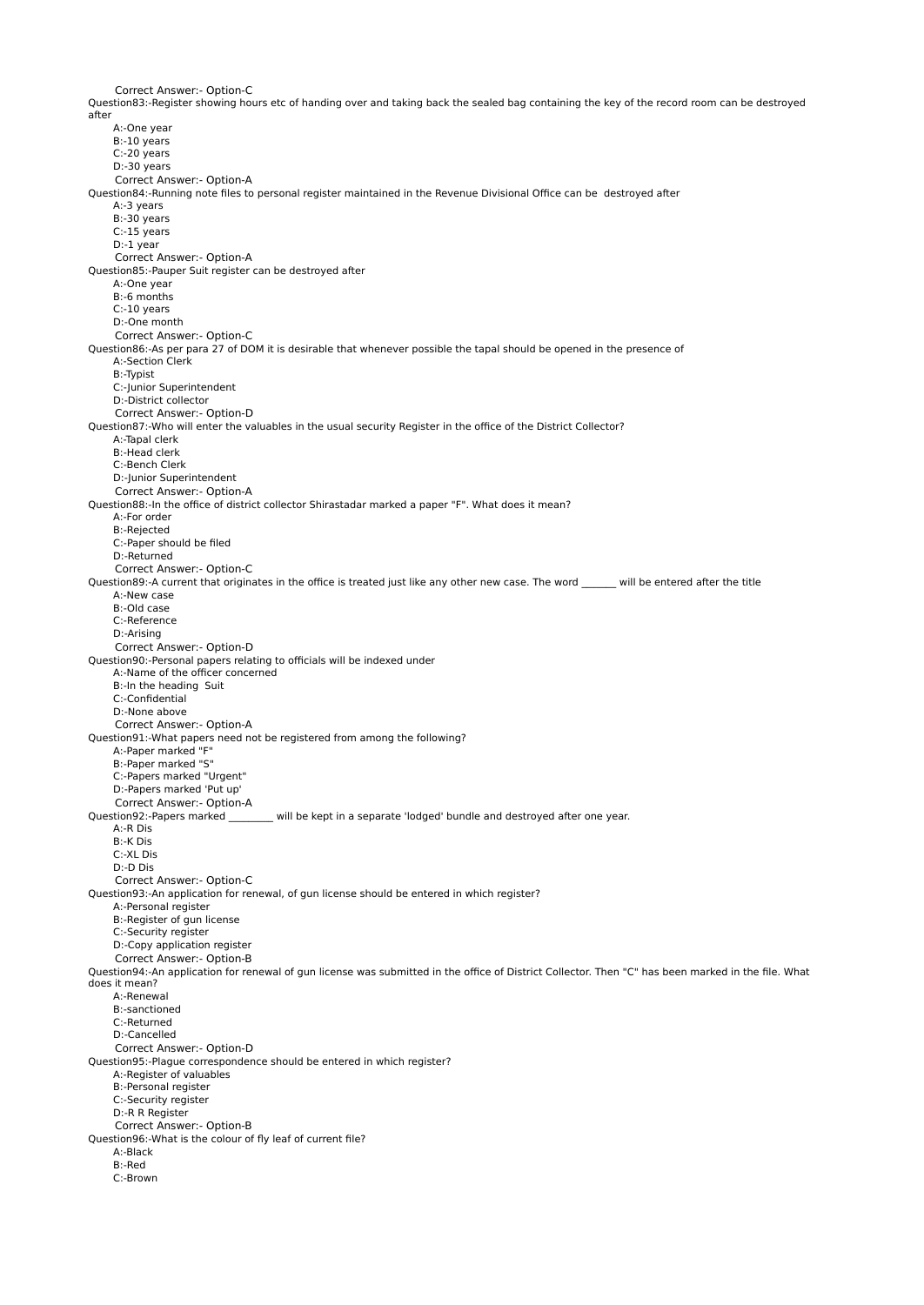Correct Answer:- Option-C Question83:-Register showing hours etc of handing over and taking back the sealed bag containing the key of the record room can be destroyed after A:-One year B:-10 years C:-20 years D:-30 years Correct Answer:- Option-A Question84:-Running note files to personal register maintained in the Revenue Divisional Office can be destroyed after A:-3 years B:-30 years C:-15 years D:-1 year Correct Answer:- Option-A Question85:-Pauper Suit register can be destroyed after A:-One year B:-6 months C:-10 years D:-One month Correct Answer:- Option-C Question86:-As per para 27 of DOM it is desirable that whenever possible the tapal should be opened in the presence of A:-Section Clerk B:-Typist C:-Junior Superintendent D:-District collector Correct Answer:- Option-D Question87:-Who will enter the valuables in the usual security Register in the office of the District Collector? A:-Tapal clerk B:-Head clerk C:-Bench Clerk D:-Junior Superintendent Correct Answer:- Option-A Question88:-In the office of district collector Shirastadar marked a paper "F". What does it mean? A:-For order B:-Rejected C:-Paper should be filed D:-Returned Correct Answer:- Option-C Question89:-A current that originates in the office is treated just like any other new case. The word \_\_\_\_\_\_\_ will be entered after the title A:-New case B:-Old case C:-Reference D:-Arising Correct Answer:- Option-D Question90:-Personal papers relating to officials will be indexed under A:-Name of the officer concerned B:-In the heading Suit C:-Confidential D:-None above Correct Answer:- Option-A Question91:-What papers need not be registered from among the following? A:-Paper marked "F" B:-Paper marked "S" C:-Papers marked "Urgent" D:-Papers marked 'Put up' Correct Answer:- Option-A Question92:-Papers marked \_\_\_\_\_\_\_\_\_ will be kept in a separate 'lodged' bundle and destroyed after one year. A:-R Dis B:-K Dis C:-XL Dis D:-D Dis Correct Answer:- Option-C Question93:-An application for renewal, of gun license should be entered in which register? A:-Personal register B:-Register of gun license C:-Security register D:-Copy application register Correct Answer:- Option-B Question94:-An application for renewal of gun license was submitted in the office of District Collector. Then "C" has been marked in the file. What does it mean? A:-Renewal B:-sanctioned C:-Returned D:-Cancelled Correct Answer:- Option-D Question95:-Plague correspondence should be entered in which register? A:-Register of valuables B:-Personal register C:-Security register D:-R R Register Correct Answer:- Option-B Question96:-What is the colour of fly leaf of current file? A:-Black B:-Red C:-Brown